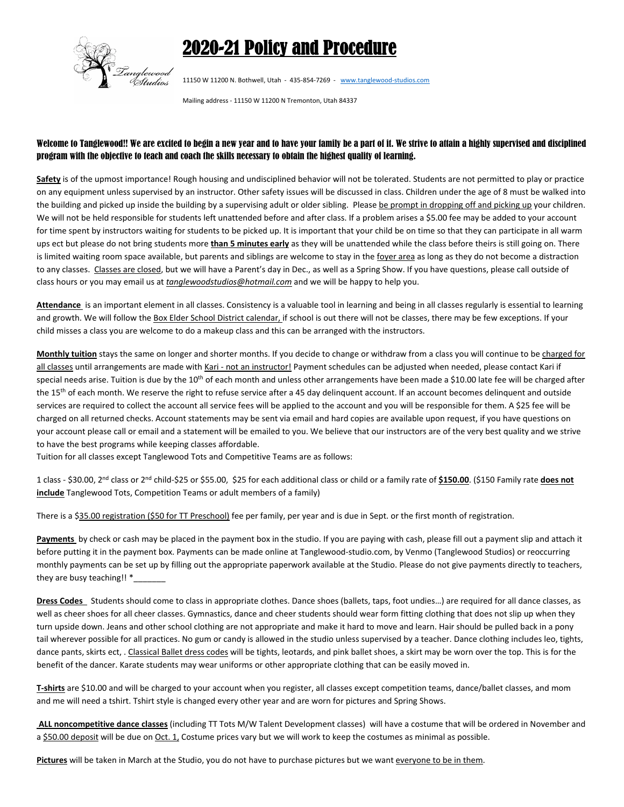## 2020-21 Policy and Procedure



11150 W 11200 N. Bothwell, Utah - 435-854-7269 - www.tanglewood-studios.com

Mailing address ‐ 11150 W 11200 N Tremonton, Utah 84337

## Welcome to Tanglewood!! We are excited to begin a new year and to have your family be a part of it. We strive to attain a highly supervised and disciplined program with the objective to teach and coach the skills necessary to obtain the highest quality of learning.

**Safety** is of the upmost importance! Rough housing and undisciplined behavior will not be tolerated. Students are not permitted to play or practice on any equipment unless supervised by an instructor. Other safety issues will be discussed in class. Children under the age of 8 must be walked into the building and picked up inside the building by a supervising adult or older sibling. Please be prompt in dropping off and picking up your children. We will not be held responsible for students left unattended before and after class. If a problem arises a \$5.00 fee may be added to your account for time spent by instructors waiting for students to be picked up. It is important that your child be on time so that they can participate in all warm ups ect but please do not bring students more **than 5 minutes early** as they will be unattended while the class before theirs is still going on. There is limited waiting room space available, but parents and siblings are welcome to stay in the foyer area as long as they do not become a distraction to any classes. Classes are closed, but we will have a Parent's day in Dec., as well as a Spring Show. If you have questions, please call outside of class hours or you may email us at *tanglewoodstudios@hotmail.com* and we will be happy to help you.

**Attendance** is an important element in all classes. Consistency is a valuable tool in learning and being in all classes regularly is essential to learning and growth. We will follow the Box Elder School District calendar, if school is out there will not be classes, there may be few exceptions. If your child misses a class you are welcome to do a makeup class and this can be arranged with the instructors.

**Monthly tuition** stays the same on longer and shorter months. If you decide to change or withdraw from a class you will continue to be charged for all classes until arrangements are made with Kari - not an instructor! Payment schedules can be adjusted when needed, please contact Kari if special needs arise. Tuition is due by the 10<sup>th</sup> of each month and unless other arrangements have been made a \$10.00 late fee will be charged after the 15<sup>th</sup> of each month. We reserve the right to refuse service after a 45 day delinquent account. If an account becomes delinquent and outside services are required to collect the account all service fees will be applied to the account and you will be responsible for them. A \$25 fee will be charged on all returned checks. Account statements may be sent via email and hard copies are available upon request, if you have questions on your account please call or email and a statement will be emailed to you. We believe that our instructors are of the very best quality and we strive to have the best programs while keeping classes affordable.

Tuition for all classes except Tanglewood Tots and Competitive Teams are as follows:

1 class ‐ \$30.00, 2nd class or 2nd child‐\$25 or \$55.00, \$25 for each additional class or child or a family rate of **\$150.00**. (\$150 Family rate **does not include** Tanglewood Tots, Competition Teams or adult members of a family)

There is a \$35.00 registration (\$50 for TT Preschool) fee per family, per year and is due in Sept. or the first month of registration.

**Payments** by check or cash may be placed in the payment box in the studio. If you are paying with cash, please fill out a payment slip and attach it before putting it in the payment box. Payments can be made online at Tanglewood-studio.com, by Venmo (Tanglewood Studios) or reoccurring monthly payments can be set up by filling out the appropriate paperwork available at the Studio. Please do not give payments directly to teachers, they are busy teaching!! \*

**Dress Codes** Students should come to class in appropriate clothes. Dance shoes (ballets, taps, foot undies…) are required for all dance classes, as well as cheer shoes for all cheer classes. Gymnastics, dance and cheer students should wear form fitting clothing that does not slip up when they turn upside down. Jeans and other school clothing are not appropriate and make it hard to move and learn. Hair should be pulled back in a pony tail wherever possible for all practices. No gum or candy is allowed in the studio unless supervised by a teacher. Dance clothing includes leo, tights, dance pants, skirts ect, . Classical Ballet dress codes will be tights, leotards, and pink ballet shoes, a skirt may be worn over the top. This is for the benefit of the dancer. Karate students may wear uniforms or other appropriate clothing that can be easily moved in.

**T‐shirts** are \$10.00 and will be charged to your account when you register, all classes except competition teams, dance/ballet classes, and mom and me will need a tshirt. Tshirt style is changed every other year and are worn for pictures and Spring Shows.

**ALL noncompetitive dance classes** (including TT Tots M/W Talent Development classes) will have a costume that will be ordered in November and a \$50.00 deposit will be due on Oct. 1, Costume prices vary but we will work to keep the costumes as minimal as possible.

Pictures will be taken in March at the Studio, you do not have to purchase pictures but we want everyone to be in them.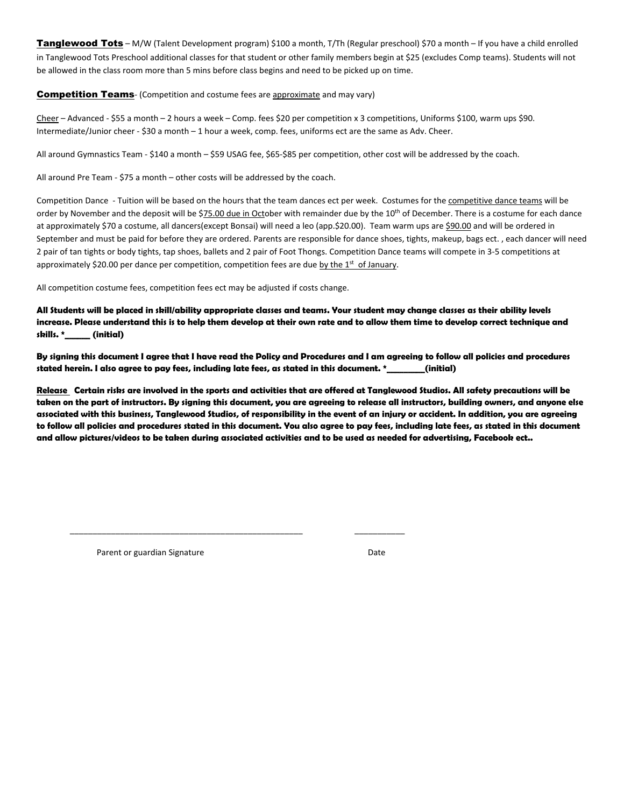Tanglewood Tots - M/W (Talent Development program) \$100 a month, T/Th (Regular preschool) \$70 a month - If you have a child enrolled in Tanglewood Tots Preschool additional classes for that student or other family members begin at \$25 (excludes Comp teams). Students will not be allowed in the class room more than 5 mins before class begins and need to be picked up on time.

## **Competition Teams** (Competition and costume fees are approximate and may vary)

Cheer – Advanced ‐ \$55 a month – 2 hours a week – Comp. fees \$20 per competition x 3 competitions, Uniforms \$100, warm ups \$90. Intermediate/Junior cheer ‐ \$30 a month – 1 hour a week, comp. fees, uniforms ect are the same as Adv. Cheer.

All around Gymnastics Team ‐ \$140 a month – \$59 USAG fee, \$65‐\$85 per competition, other cost will be addressed by the coach.

All around Pre Team ‐ \$75 a month – other costs will be addressed by the coach.

Competition Dance - Tuition will be based on the hours that the team dances ect per week. Costumes for the competitive dance teams will be order by November and the deposit will be \$75.00 due in October with remainder due by the 10<sup>th</sup> of December. There is a costume for each dance at approximately \$70 a costume, all dancers(except Bonsai) will need a leo (app.\$20.00). Team warm ups are \$90.00 and will be ordered in September and must be paid for before they are ordered. Parents are responsible for dance shoes, tights, makeup, bags ect. , each dancer will need 2 pair of tan tights or body tights, tap shoes, ballets and 2 pair of Foot Thongs. Competition Dance teams will compete in 3‐5 competitions at approximately \$20.00 per dance per competition, competition fees are due by the  $1<sup>st</sup>$  of January.

All competition costume fees, competition fees ect may be adjusted if costs change.

\_\_\_\_\_\_\_\_\_\_\_\_\_\_\_\_\_\_\_\_\_\_\_\_\_\_\_\_\_\_\_\_\_\_\_\_\_\_\_\_\_\_\_\_\_\_\_\_\_\_\_ \_\_\_\_\_\_\_\_\_\_\_

**All Students will be placed in skill/ability appropriate classes and teams. Your student may change classes as their ability levels increase. Please understand this is to help them develop at their own rate and to allow them time to develop correct technique and skills. \*\_\_\_\_\_\_ (initial)** 

**By signing this document I agree that I have read the Policy and Procedures and I am agreeing to follow all policies and procedures stated herein. I also agree to pay fees, including late fees, as stated in this document. \*\_\_\_\_\_\_\_\_\_(initial)** 

**Release Certain risks are involved in the sports and activities that are offered at Tanglewood Studios. All safety precautions will be taken on the part of instructors. By signing this document, you are agreeing to release all instructors, building owners, and anyone else associated with this business, Tanglewood Studios, of responsibility in the event of an injury or accident. In addition, you are agreeing to follow all policies and procedures stated in this document. You also agree to pay fees, including late fees, as stated in this document and allow pictures/videos to be taken during associated activities and to be used as needed for advertising, Facebook ect..** 

Parent or guardian Signature **Date Date Date**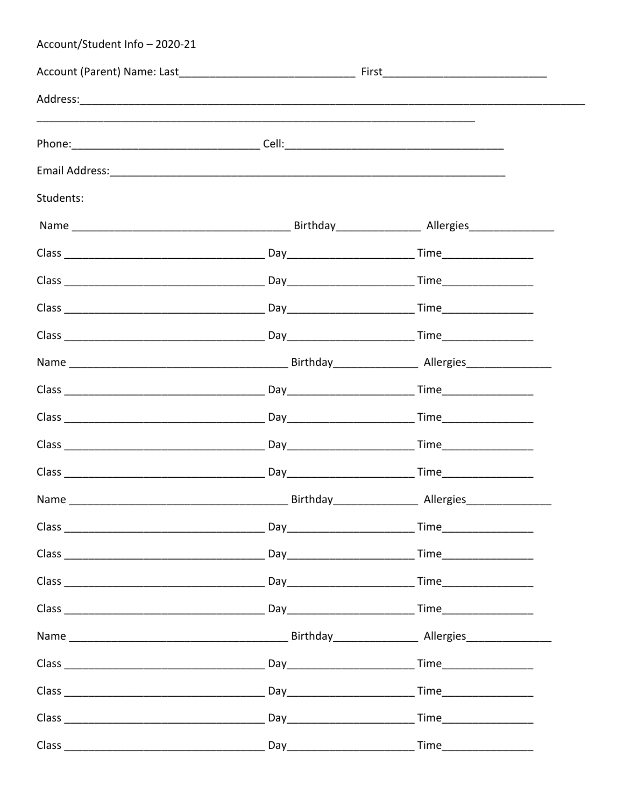| Account/Student Info - 2020-21 |  |  |
|--------------------------------|--|--|
|                                |  |  |
|                                |  |  |
|                                |  |  |
|                                |  |  |
| Students:                      |  |  |
|                                |  |  |
|                                |  |  |
|                                |  |  |
|                                |  |  |
|                                |  |  |
|                                |  |  |
|                                |  |  |
|                                |  |  |
|                                |  |  |
|                                |  |  |
|                                |  |  |
|                                |  |  |
|                                |  |  |
|                                |  |  |
|                                |  |  |
|                                |  |  |
|                                |  |  |
|                                |  |  |
|                                |  |  |
|                                |  |  |